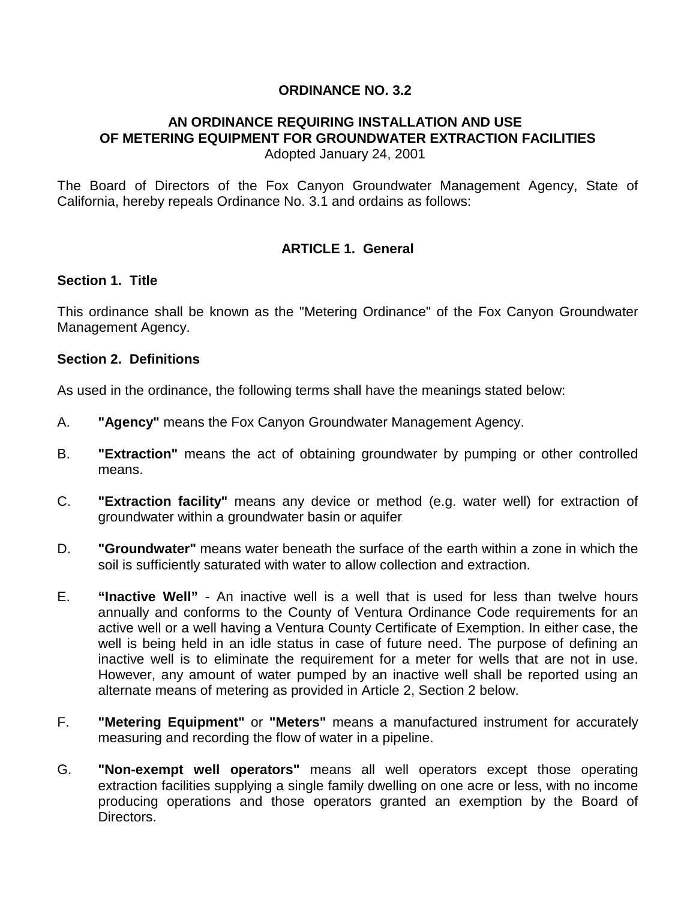## **ORDINANCE NO. 3.2**

#### **AN ORDINANCE REQUIRING INSTALLATION AND USE OF METERING EQUIPMENT FOR GROUNDWATER EXTRACTION FACILITIES** Adopted January 24, 2001

The Board of Directors of the Fox Canyon Groundwater Management Agency, State of California, hereby repeals Ordinance No. 3.1 and ordains as follows:

# **ARTICLE 1. General**

#### **Section 1. Title**

This ordinance shall be known as the "Metering Ordinance" of the Fox Canyon Groundwater Management Agency.

#### **Section 2. Definitions**

As used in the ordinance, the following terms shall have the meanings stated below:

- A. **"Agency"** means the Fox Canyon Groundwater Management Agency.
- B. **"Extraction"** means the act of obtaining groundwater by pumping or other controlled means.
- C. **"Extraction facility"** means any device or method (e.g. water well) for extraction of groundwater within a groundwater basin or aquifer
- D. **"Groundwater"** means water beneath the surface of the earth within a zone in which the soil is sufficiently saturated with water to allow collection and extraction.
- E. **"Inactive Well"** An inactive well is a well that is used for less than twelve hours annually and conforms to the County of Ventura Ordinance Code requirements for an active well or a well having a Ventura County Certificate of Exemption. In either case, the well is being held in an idle status in case of future need. The purpose of defining an inactive well is to eliminate the requirement for a meter for wells that are not in use. However, any amount of water pumped by an inactive well shall be reported using an alternate means of metering as provided in Article 2, Section 2 below.
- F. **"Metering Equipment"** or **"Meters"** means a manufactured instrument for accurately measuring and recording the flow of water in a pipeline.
- G. **"Non-exempt well operators"** means all well operators except those operating extraction facilities supplying a single family dwelling on one acre or less, with no income producing operations and those operators granted an exemption by the Board of Directors.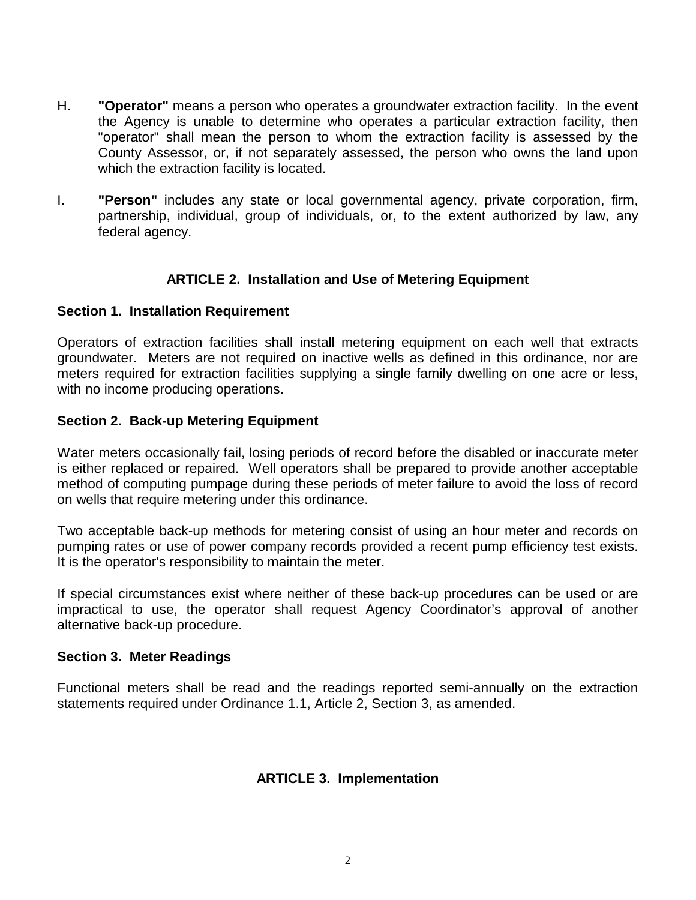- H. **"Operator"** means a person who operates a groundwater extraction facility. In the event the Agency is unable to determine who operates a particular extraction facility, then "operator" shall mean the person to whom the extraction facility is assessed by the County Assessor, or, if not separately assessed, the person who owns the land upon which the extraction facility is located.
- I. **"Person"** includes any state or local governmental agency, private corporation, firm, partnership, individual, group of individuals, or, to the extent authorized by law, any federal agency.

# **ARTICLE 2. Installation and Use of Metering Equipment**

#### **Section 1. Installation Requirement**

Operators of extraction facilities shall install metering equipment on each well that extracts groundwater. Meters are not required on inactive wells as defined in this ordinance, nor are meters required for extraction facilities supplying a single family dwelling on one acre or less, with no income producing operations.

#### **Section 2. Back-up Metering Equipment**

Water meters occasionally fail, losing periods of record before the disabled or inaccurate meter is either replaced or repaired. Well operators shall be prepared to provide another acceptable method of computing pumpage during these periods of meter failure to avoid the loss of record on wells that require metering under this ordinance.

Two acceptable back-up methods for metering consist of using an hour meter and records on pumping rates or use of power company records provided a recent pump efficiency test exists. It is the operator's responsibility to maintain the meter.

If special circumstances exist where neither of these back-up procedures can be used or are impractical to use, the operator shall request Agency Coordinator's approval of another alternative back-up procedure.

#### **Section 3. Meter Readings**

Functional meters shall be read and the readings reported semi-annually on the extraction statements required under Ordinance 1.1, Article 2, Section 3, as amended.

### **ARTICLE 3. Implementation**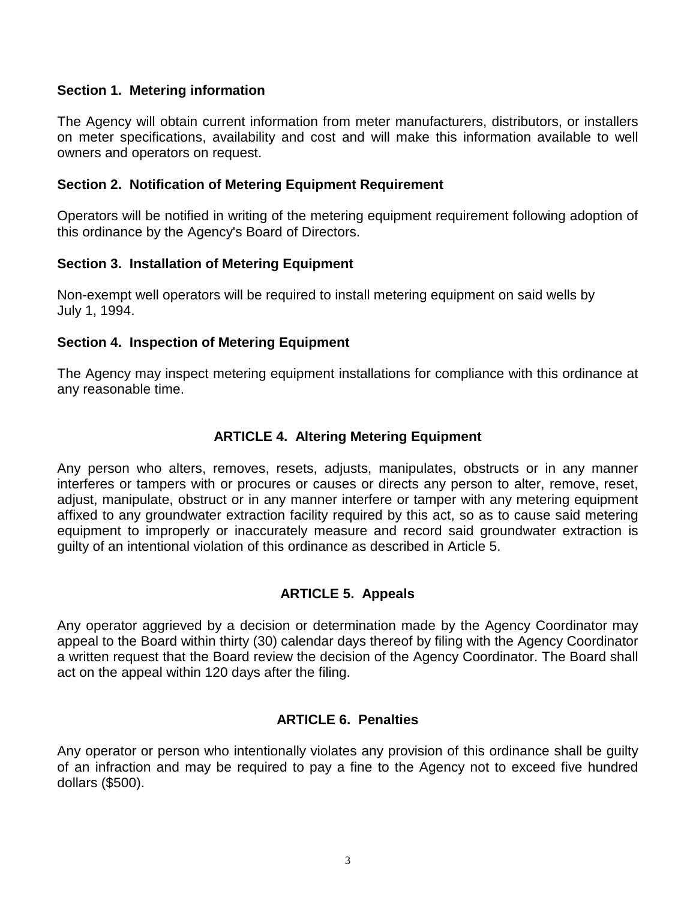## **Section 1. Metering information**

The Agency will obtain current information from meter manufacturers, distributors, or installers on meter specifications, availability and cost and will make this information available to well owners and operators on request.

## **Section 2. Notification of Metering Equipment Requirement**

Operators will be notified in writing of the metering equipment requirement following adoption of this ordinance by the Agency's Board of Directors.

### **Section 3. Installation of Metering Equipment**

Non-exempt well operators will be required to install metering equipment on said wells by July 1, 1994.

# **Section 4. Inspection of Metering Equipment**

The Agency may inspect metering equipment installations for compliance with this ordinance at any reasonable time.

# **ARTICLE 4. Altering Metering Equipment**

Any person who alters, removes, resets, adjusts, manipulates, obstructs or in any manner interferes or tampers with or procures or causes or directs any person to alter, remove, reset, adjust, manipulate, obstruct or in any manner interfere or tamper with any metering equipment affixed to any groundwater extraction facility required by this act, so as to cause said metering equipment to improperly or inaccurately measure and record said groundwater extraction is guilty of an intentional violation of this ordinance as described in Article 5.

# **ARTICLE 5. Appeals**

Any operator aggrieved by a decision or determination made by the Agency Coordinator may appeal to the Board within thirty (30) calendar days thereof by filing with the Agency Coordinator a written request that the Board review the decision of the Agency Coordinator. The Board shall act on the appeal within 120 days after the filing.

### **ARTICLE 6. Penalties**

Any operator or person who intentionally violates any provision of this ordinance shall be guilty of an infraction and may be required to pay a fine to the Agency not to exceed five hundred dollars (\$500).